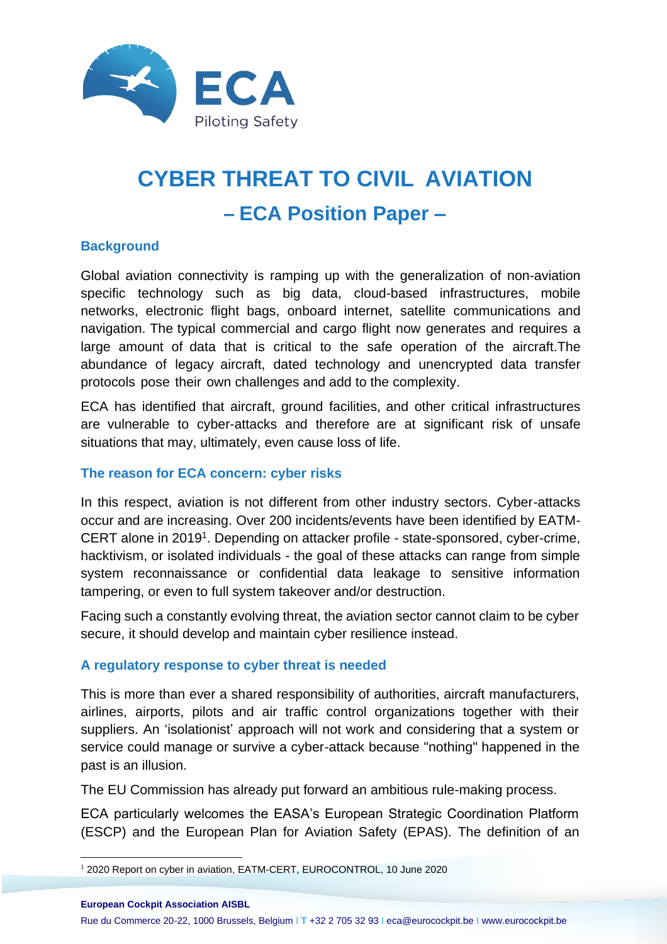

# **CYBER THREAT TO CIVIL AVIATION – ECA Position Paper –**

### **Background**

Global aviation connectivity is ramping up with the generalization of non-aviation specific technology such as big data, cloud-based infrastructures, mobile networks, electronic flight bags, onboard internet, satellite communications and navigation. The typical commercial and cargo flight now generates and requires a large amount of data that is critical to the safe operation of the aircraft.The abundance of legacy aircraft, dated technology and unencrypted data transfer protocols pose their own challenges and add to the complexity.

ECA has identified that aircraft, ground facilities, and other critical infrastructures are vulnerable to cyber-attacks and therefore are at significant risk of unsafe situations that may, ultimately, even cause loss of life.

#### **The reason for ECA concern: cyber risks**

In this respect, aviation is not different from other industry sectors. Cyber-attacks occur and are increasing. Over 200 incidents/events have been identified by EATM-CERT alone in 2019<sup>1</sup>. Depending on attacker profile - state-sponsored, cyber-crime, hacktivism, or isolated individuals - the goal of these attacks can range from simple system reconnaissance or confidential data leakage to sensitive information tampering, or even to full system takeover and/or destruction.

Facing such a constantly evolving threat, the aviation sector cannot claim to be cyber secure, it should develop and maintain cyber resilience instead.

#### **A regulatory response to cyber threat is needed**

This is more than ever a shared responsibility of authorities, aircraft manufacturers, airlines, airports, pilots and air traffic control organizations together with their suppliers. An 'isolationist' approach will not work and considering that a system or service could manage or survive a cyber-attack because "nothing" happened in the past is an illusion.

The EU Commission has already put forward an ambitious rule-making process.

ECA particularly welcomes the EASA's European Strategic Coordination Platform (ESCP) and the European Plan for Aviation Safety (EPAS). The definition of an

**European Cockpit Association AISBL**

Rue du Commerce 20-22, 1000 Brussels, Belgium I **T** +32 2 705 32 93 I eca@eurocockpit.be I www.eurocockpit.be

<sup>&</sup>lt;sup>1</sup> 2020 Report on cyber in aviation, EATM-CERT, EUROCONTROL, 10 June 2020